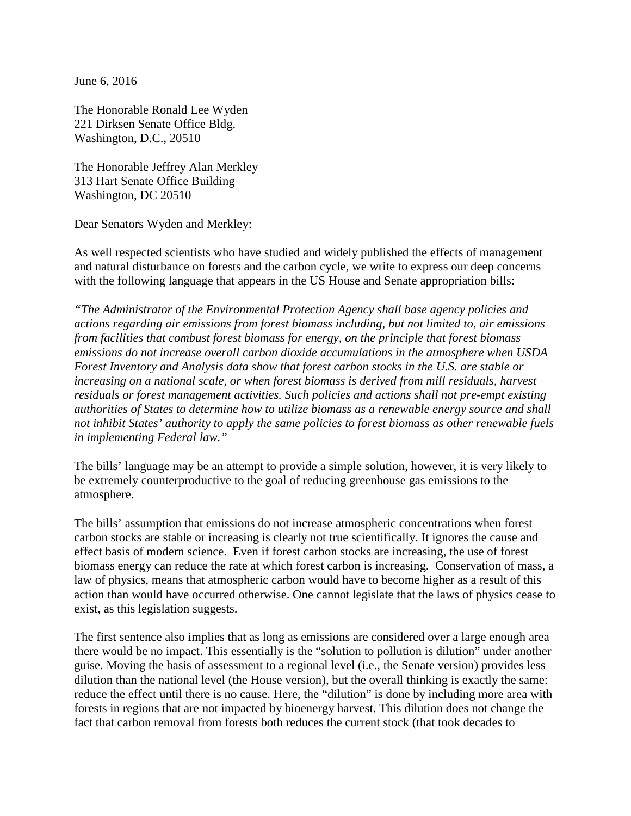June 6, 2016

The Honorable Ronald Lee Wyden 221 Dirksen Senate Office Bldg. Washington, D.C., 20510

The Honorable Jeffrey Alan Merkley 313 Hart Senate Office Building Washington, DC 20510

Dear Senators Wyden and Merkley:

As well respected scientists who have studied and widely published the effects of management and natural disturbance on forests and the carbon cycle, we write to express our deep concerns with the following language that appears in the US House and Senate appropriation bills:

*"The Administrator of the Environmental Protection Agency shall base agency policies and actions regarding air emissions from forest biomass including, but not limited to, air emissions from facilities that combust forest biomass for energy, on the principle that forest biomass emissions do not increase overall carbon dioxide accumulations in the atmosphere when USDA Forest Inventory and Analysis data show that forest carbon stocks in the U.S. are stable or increasing on a national scale, or when forest biomass is derived from mill residuals, harvest residuals or forest management activities. Such policies and actions shall not pre-empt existing authorities of States to determine how to utilize biomass as a renewable energy source and shall not inhibit States' authority to apply the same policies to forest biomass as other renewable fuels in implementing Federal law."* 

The bills' language may be an attempt to provide a simple solution, however, it is very likely to be extremely counterproductive to the goal of reducing greenhouse gas emissions to the atmosphere.

The bills' assumption that emissions do not increase atmospheric concentrations when forest carbon stocks are stable or increasing is clearly not true scientifically. It ignores the cause and effect basis of modern science. Even if forest carbon stocks are increasing, the use of forest biomass energy can reduce the rate at which forest carbon is increasing. Conservation of mass, a law of physics, means that atmospheric carbon would have to become higher as a result of this action than would have occurred otherwise. One cannot legislate that the laws of physics cease to exist, as this legislation suggests.

The first sentence also implies that as long as emissions are considered over a large enough area there would be no impact. This essentially is the "solution to pollution is dilution" under another guise. Moving the basis of assessment to a regional level (i.e., the Senate version) provides less dilution than the national level (the House version), but the overall thinking is exactly the same: reduce the effect until there is no cause. Here, the "dilution" is done by including more area with forests in regions that are not impacted by bioenergy harvest. This dilution does not change the fact that carbon removal from forests both reduces the current stock (that took decades to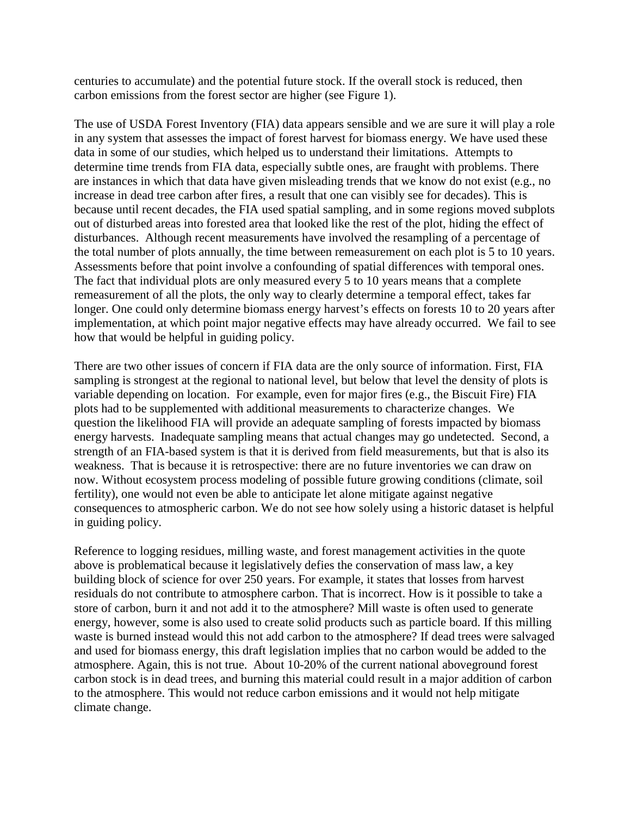centuries to accumulate) and the potential future stock. If the overall stock is reduced, then carbon emissions from the forest sector are higher (see Figure 1).

The use of USDA Forest Inventory (FIA) data appears sensible and we are sure it will play a role in any system that assesses the impact of forest harvest for biomass energy. We have used these data in some of our studies, which helped us to understand their limitations. Attempts to determine time trends from FIA data, especially subtle ones, are fraught with problems. There are instances in which that data have given misleading trends that we know do not exist (e.g., no increase in dead tree carbon after fires, a result that one can visibly see for decades). This is because until recent decades, the FIA used spatial sampling, and in some regions moved subplots out of disturbed areas into forested area that looked like the rest of the plot, hiding the effect of disturbances. Although recent measurements have involved the resampling of a percentage of the total number of plots annually, the time between remeasurement on each plot is 5 to 10 years. Assessments before that point involve a confounding of spatial differences with temporal ones. The fact that individual plots are only measured every 5 to 10 years means that a complete remeasurement of all the plots, the only way to clearly determine a temporal effect, takes far longer. One could only determine biomass energy harvest's effects on forests 10 to 20 years after implementation, at which point major negative effects may have already occurred. We fail to see how that would be helpful in guiding policy.

There are two other issues of concern if FIA data are the only source of information. First, FIA sampling is strongest at the regional to national level, but below that level the density of plots is variable depending on location. For example, even for major fires (e.g., the Biscuit Fire) FIA plots had to be supplemented with additional measurements to characterize changes. We question the likelihood FIA will provide an adequate sampling of forests impacted by biomass energy harvests. Inadequate sampling means that actual changes may go undetected. Second, a strength of an FIA-based system is that it is derived from field measurements, but that is also its weakness. That is because it is retrospective: there are no future inventories we can draw on now. Without ecosystem process modeling of possible future growing conditions (climate, soil fertility), one would not even be able to anticipate let alone mitigate against negative consequences to atmospheric carbon. We do not see how solely using a historic dataset is helpful in guiding policy.

Reference to logging residues, milling waste, and forest management activities in the quote above is problematical because it legislatively defies the conservation of mass law, a key building block of science for over 250 years. For example, it states that losses from harvest residuals do not contribute to atmosphere carbon. That is incorrect. How is it possible to take a store of carbon, burn it and not add it to the atmosphere? Mill waste is often used to generate energy, however, some is also used to create solid products such as particle board. If this milling waste is burned instead would this not add carbon to the atmosphere? If dead trees were salvaged and used for biomass energy, this draft legislation implies that no carbon would be added to the atmosphere. Again, this is not true. About 10-20% of the current national aboveground forest carbon stock is in dead trees, and burning this material could result in a major addition of carbon to the atmosphere. This would not reduce carbon emissions and it would not help mitigate climate change.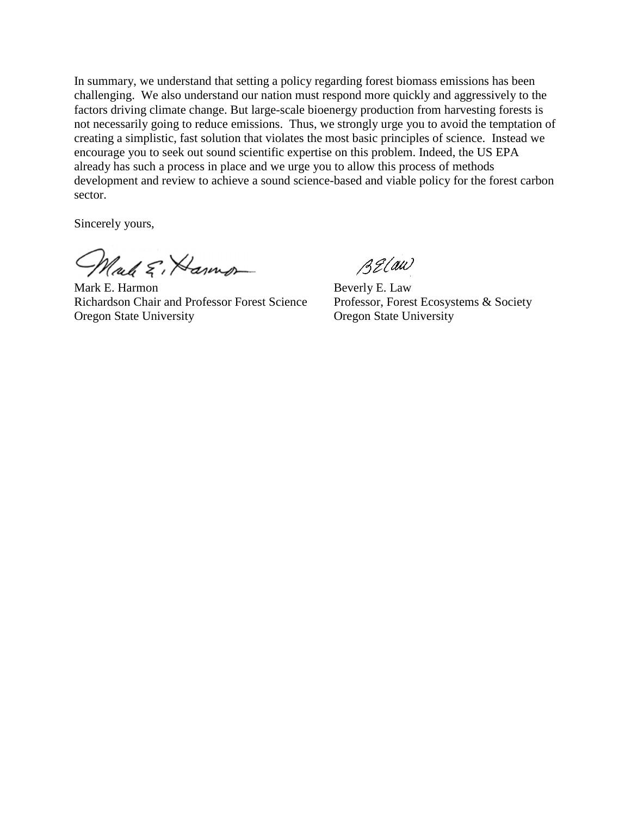In summary, we understand that setting a policy regarding forest biomass emissions has been challenging. We also understand our nation must respond more quickly and aggressively to the factors driving climate change. But large-scale bioenergy production from harvesting forests is not necessarily going to reduce emissions. Thus, we strongly urge you to avoid the temptation of creating a simplistic, fast solution that violates the most basic principles of science. Instead we encourage you to seek out sound scientific expertise on this problem. Indeed, the US EPA already has such a process in place and we urge you to allow this process of methods development and review to achieve a sound science-based and viable policy for the forest carbon sector.

Sincerely yours,

Male E, Hamon

Mark E. Harmon Beverly E. Law Richardson Chair and Professor Forest Science Professor, Forest Ecosystems & Society Oregon State University Oregon State University

BELaw